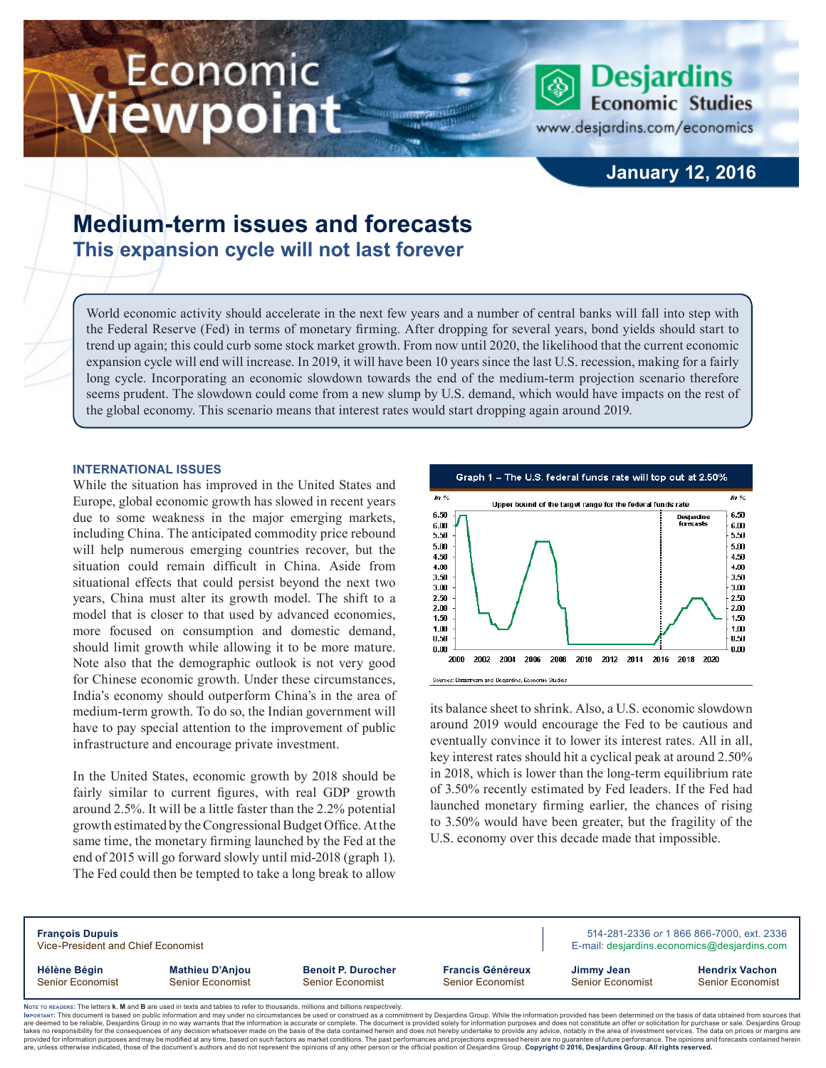# Economic iewpoint



www.desjardins.com/economics

**Desjardins Economic Studies** 

### **January 12, 2016**

## **Medium-term issues and forecasts This expansion cycle will not last forever**

World economic activity should accelerate in the next few years and a number of central banks will fall into step with the Federal Reserve (Fed) in terms of monetary firming. After dropping for several years, bond yields should start to trend up again; this could curb some stock market growth. From now until 2020, the likelihood that the current economic expansion cycle will end will increase. In 2019, it will have been 10 years since the last U.S. recession, making for a fairly long cycle. Incorporating an economic slowdown towards the end of the medium-term projection scenario therefore seems prudent. The slowdown could come from a new slump by U.S. demand, which would have impacts on the rest of the global economy. This scenario means that interest rates would start dropping again around 2019.

#### **INTERNATIONAL ISSUES**

While the situation has improved in the United States and Europe, global economic growth has slowed in recent years due to some weakness in the major emerging markets, including China. The anticipated commodity price rebound will help numerous emerging countries recover, but the situation could remain difficult in China. Aside from situational effects that could persist beyond the next two years, China must alter its growth model. The shift to a model that is closer to that used by advanced economies, more focused on consumption and domestic demand, should limit growth while allowing it to be more mature. Note also that the demographic outlook is not very good for Chinese economic growth. Under these circumstances, India's economy should outperform China's in the area of medium-term growth. To do so, the Indian government will have to pay special attention to the improvement of public infrastructure and encourage private investment.

In the United States, economic growth by 2018 should be fairly similar to current figures, with real GDP growth around 2.5%. It will be a little faster than the 2.2% potential growth estimated by the Congressional Budget Office. At the same time, the monetary firming launched by the Fed at the end of 2015 will go forward slowly until mid-2018 (graph 1). The Fed could then be tempted to take a long break to allow



its balance sheet to shrink. Also, a U.S. economic slowdown around 2019 would encourage the Fed to be cautious and eventually convince it to lower its interest rates. All in all, key interest rates should hit a cyclical peak at around 2.50% in 2018, which is lower than the long-term equilibrium rate of 3.50% recently estimated by Fed leaders. If the Fed had launched monetary firming earlier, the chances of rising to 3.50% would have been greater, but the fragility of the U.S. economy over this decade made that impossible.

| <b>François Dupuis</b><br>Vice-President and Chief Economist |                                                                                                                                 |                                                                                                                                                                                                                                                                                                                                                                                                                                                                                                                                                                                                                                                                                                                                                                                                                                                                                                                                      |                                             |                                       | 514-281-2336 or 1 866 866-7000, ext. 2336<br>E-mail: desjardins.economics@desjardins.com |  |  |
|--------------------------------------------------------------|---------------------------------------------------------------------------------------------------------------------------------|--------------------------------------------------------------------------------------------------------------------------------------------------------------------------------------------------------------------------------------------------------------------------------------------------------------------------------------------------------------------------------------------------------------------------------------------------------------------------------------------------------------------------------------------------------------------------------------------------------------------------------------------------------------------------------------------------------------------------------------------------------------------------------------------------------------------------------------------------------------------------------------------------------------------------------------|---------------------------------------------|---------------------------------------|------------------------------------------------------------------------------------------|--|--|
| Hélène Bégin<br>Senior Economist                             | <b>Mathieu D'Anjou</b><br>Senior Economist                                                                                      | <b>Benoit P. Durocher</b><br><b>Senior Economist</b>                                                                                                                                                                                                                                                                                                                                                                                                                                                                                                                                                                                                                                                                                                                                                                                                                                                                                 | <b>Francis Généreux</b><br>Senior Economist | Jimmy Jean<br><b>Senior Economist</b> | <b>Hendrix Vachon</b><br><b>Senior Economist</b>                                         |  |  |
|                                                              | Note to reapers: The letters k. M and B are used in texts and tables to refer to thousands, millions and billions respectively. | IMPORTANT: This document is based on public information and may under no circumstances be used or construed as a commitment by Desjardins Group. While the information provided has been determined on the basis of data obtai<br>are deemed to be reliable, Desjardins Group in no way warrants that the information is accurate or complete. The document is provided solely for information purposes and does not constitute an offer or solicitation for pur<br>takes no responsibility for the consequences of any decision whatsoever made on the basis of the data contained herein and does not hereby undertake to provide any advice, notably in the area of investment services. The da<br>provided for information purposes and may be modified at any time, based on such factors as market conditions. The past performances and projections expressed herein are no quarantee of future performance. The opinions and |                                             |                                       |                                                                                          |  |  |

re, unless otherwise indicated, those of the document's authors and do not represent the opinions of any other person or the official position of Desjardins Group. Copyright @ 2016, Desjardins Group. All rights reserved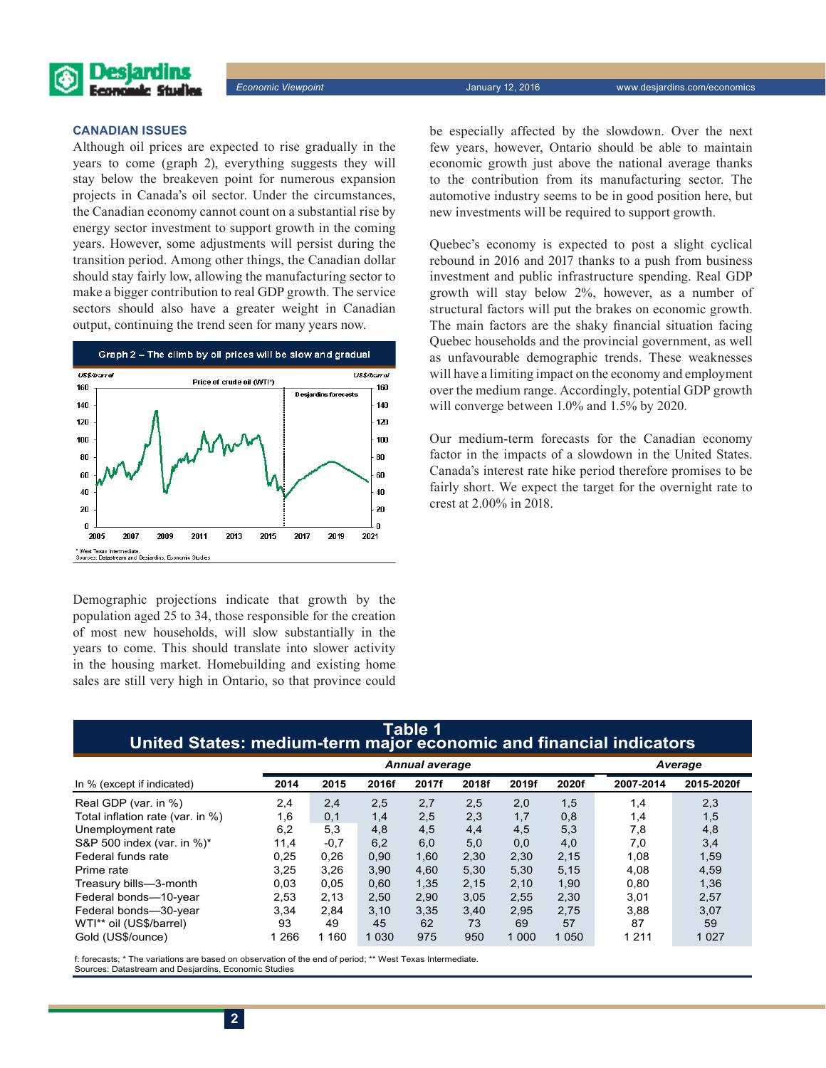

#### **CANADIAN ISSUES**

Although oil prices are expected to rise gradually in the years to come (graph 2), everything suggests they will stay below the breakeven point for numerous expansion projects in Canada's oil sector. Under the circumstances, the Canadian economy cannot count on a substantial rise by energy sector investment to support growth in the coming years. However, some adjustments will persist during the transition period. Among other things, the Canadian dollar should stay fairly low, allowing the manufacturing sector to make a bigger contribution to real GDP growth. The service sectors should also have a greater weight in Canadian output, continuing the trend seen for many years now.



Demographic projections indicate that growth by the population aged 25 to 34, those responsible for the creation of most new households, will slow substantially in the years to come. This should translate into slower activity in the housing market. Homebuilding and existing home sales are still very high in Ontario, so that province could be especially affected by the slowdown. Over the next few years, however, Ontario should be able to maintain economic growth just above the national average thanks to the contribution from its manufacturing sector. The automotive industry seems to be in good position here, but new investments will be required to support growth.

Quebec's economy is expected to post a slight cyclical rebound in 2016 and 2017 thanks to a push from business investment and public infrastructure spending. Real GDP growth will stay below 2%, however, as a number of structural factors will put the brakes on economic growth. The main factors are the shaky financial situation facing Quebec households and the provincial government, as well as unfavourable demographic trends. These weaknesses will have a limiting impact on the economy and employment over the medium range. Accordingly, potential GDP growth will converge between 1.0% and 1.5% by 2020.

Our medium-term forecasts for the Canadian economy factor in the impacts of a slowdown in the United States. Canada's interest rate hike period therefore promises to be fairly short. We expect the target for the overnight rate to crest at 2.00% in 2018.

#### **Table 1 United States: medium-term major economic and financial indicators**

|                                  |      | <b>Annual average</b> |         |       |       |         |         | Average   |            |
|----------------------------------|------|-----------------------|---------|-------|-------|---------|---------|-----------|------------|
| In % (except if indicated)       | 2014 | 2015                  | 2016f   | 2017f | 2018f | 2019f   | 2020f   | 2007-2014 | 2015-2020f |
| Real GDP (var. in %)             | 2,4  | 2,4                   | 2,5     | 2,7   | 2,5   | 2,0     | 1,5     | 1,4       | 2,3        |
| Total inflation rate (var. in %) | 1,6  | 0,1                   | 1,4     | 2,5   | 2,3   | 1,7     | 0,8     | 1,4       | 1,5        |
| Unemployment rate                | 6,2  | 5,3                   | 4,8     | 4,5   | 4,4   | 4,5     | 5,3     | 7,8       | 4,8        |
| S&P 500 index (var. in %)*       | 11,4 | $-0.7$                | 6,2     | 6,0   | 5,0   | 0,0     | 4,0     | 7,0       | 3,4        |
| Federal funds rate               | 0,25 | 0,26                  | 0,90    | 1,60  | 2,30  | 2,30    | 2,15    | 1,08      | 1,59       |
| Prime rate                       | 3,25 | 3,26                  | 3,90    | 4,60  | 5,30  | 5,30    | 5,15    | 4,08      | 4,59       |
| Treasury bills-3-month           | 0.03 | 0.05                  | 0.60    | 1,35  | 2,15  | 2,10    | 1,90    | 0,80      | 1,36       |
| Federal bonds-10-year            | 2.53 | 2,13                  | 2,50    | 2,90  | 3,05  | 2,55    | 2,30    | 3,01      | 2,57       |
| Federal bonds-30-year            | 3,34 | 2,84                  | 3,10    | 3,35  | 3,40  | 2,95    | 2,75    | 3,88      | 3,07       |
| WTI** oil (US\$/barrel)          | 93   | 49                    | 45      | 62    | 73    | 69      | 57      | 87        | 59         |
| Gold (US\$/ounce)                | 266  | 160                   | 1 0 3 0 | 975   | 950   | 1 0 0 0 | 1 0 5 0 | 1 2 1 1   | 1 0 2 7    |

f: forecasts; \* The variations are based on observation of the end of period; \*\* West Texas Intermediate. Sources: Datastream and Desjardins, Economic Studies